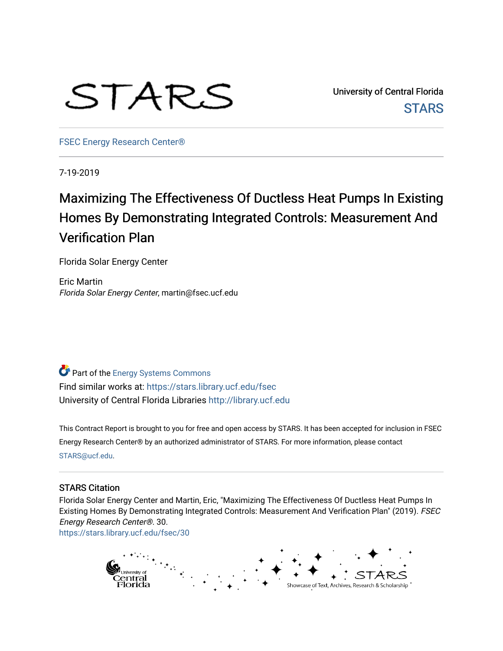

University of Central Florida **STARS** 

[FSEC Energy Research Center®](https://stars.library.ucf.edu/fsec) 

7-19-2019

# Maximizing The Effectiveness Of Ductless Heat Pumps In Existing Homes By Demonstrating Integrated Controls: Measurement And Verification Plan

Florida Solar Energy Center

Eric Martin Florida Solar Energy Center, martin@fsec.ucf.edu

**Part of the Energy Systems Commons** Find similar works at: <https://stars.library.ucf.edu/fsec> University of Central Florida Libraries [http://library.ucf.edu](http://library.ucf.edu/) 

This Contract Report is brought to you for free and open access by STARS. It has been accepted for inclusion in FSEC Energy Research Center® by an authorized administrator of STARS. For more information, please contact [STARS@ucf.edu](mailto:STARS@ucf.edu).

#### STARS Citation

Florida Solar Energy Center and Martin, Eric, "Maximizing The Effectiveness Of Ductless Heat Pumps In Existing Homes By Demonstrating Integrated Controls: Measurement And Verification Plan" (2019). FSEC Energy Research Center®. 30.

[https://stars.library.ucf.edu/fsec/30](https://stars.library.ucf.edu/fsec/30?utm_source=stars.library.ucf.edu%2Ffsec%2F30&utm_medium=PDF&utm_campaign=PDFCoverPages) 

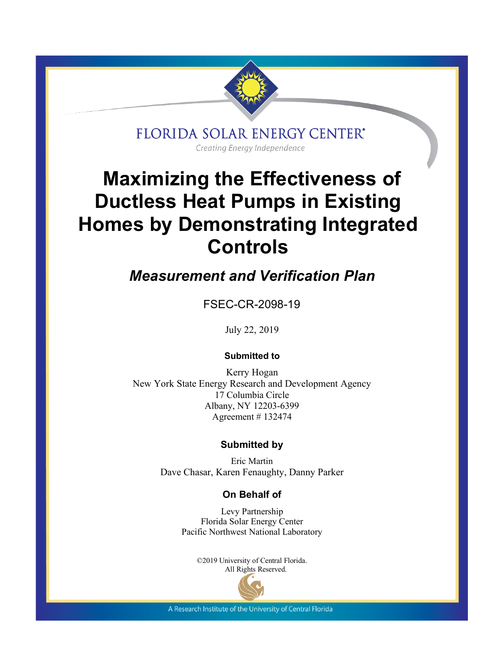

FLORIDA SOLAR ENERGY CENTER\*

Creating Energy Independence

# **Maximizing the Effectiveness of Ductless Heat Pumps in Existing Homes by Demonstrating Integrated Controls**

*Measurement and Verification Plan*

FSEC-CR-2098-19

July 22, 2019

#### **Submitted to**

Kerry Hogan New York State Energy Research and Development Agency 17 Columbia Circle Albany, NY 12203-6399 Agreement # 132474

#### **Submitted by**

Eric Martin Dave Chasar, Karen Fenaughty, Danny Parker

### **On Behalf of**

Levy Partnership Florida Solar Energy Center Pacific Northwest National Laboratory

> ©2019 University of Central Florida. All Rights Reserved.



A Research Institute of the University of Central Florida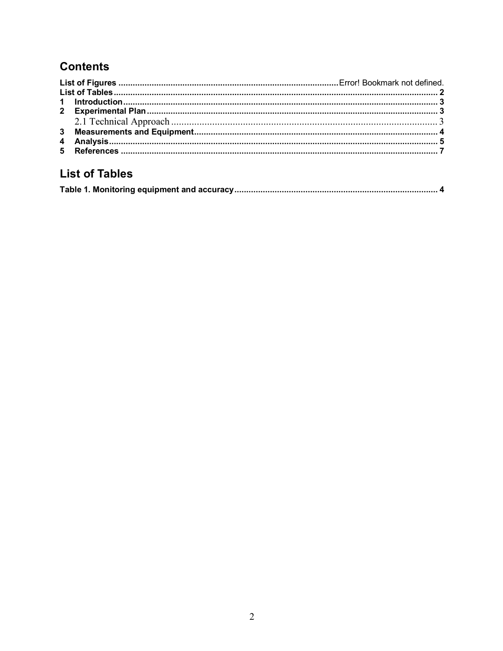# **Contents**

# **List of Tables**

|--|--|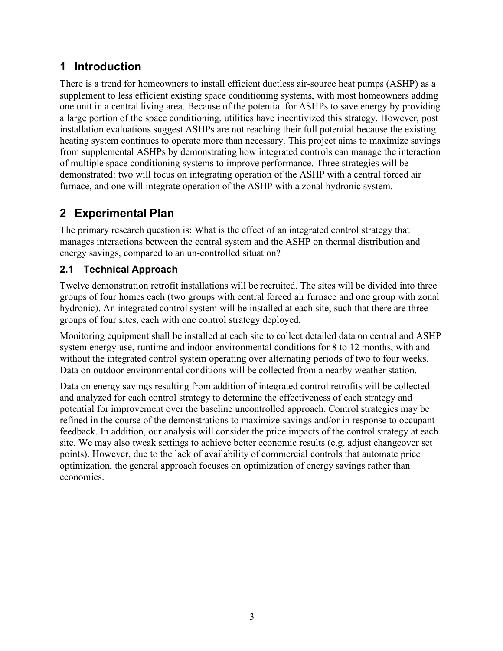# **1 Introduction**

There is a trend for homeowners to install efficient ductless air-source heat pumps (ASHP) as a supplement to less efficient existing space conditioning systems, with most homeowners adding one unit in a central living area. Because of the potential for ASHPs to save energy by providing a large portion of the space conditioning, utilities have incentivized this strategy. However, post installation evaluations suggest ASHPs are not reaching their full potential because the existing heating system continues to operate more than necessary. This project aims to maximize savings from supplemental ASHPs by demonstrating how integrated controls can manage the interaction of multiple space conditioning systems to improve performance. Three strategies will be demonstrated: two will focus on integrating operation of the ASHP with a central forced air furnace, and one will integrate operation of the ASHP with a zonal hydronic system.

## **2 Experimental Plan**

The primary research question is: What is the effect of an integrated control strategy that manages interactions between the central system and the ASHP on thermal distribution and energy savings, compared to an un-controlled situation?

### **2.1 Technical Approach**

Twelve demonstration retrofit installations will be recruited. The sites will be divided into three groups of four homes each (two groups with central forced air furnace and one group with zonal hydronic). An integrated control system will be installed at each site, such that there are three groups of four sites, each with one control strategy deployed.

Monitoring equipment shall be installed at each site to collect detailed data on central and ASHP system energy use, runtime and indoor environmental conditions for 8 to 12 months, with and without the integrated control system operating over alternating periods of two to four weeks. Data on outdoor environmental conditions will be collected from a nearby weather station.

Data on energy savings resulting from addition of integrated control retrofits will be collected and analyzed for each control strategy to determine the effectiveness of each strategy and potential for improvement over the baseline uncontrolled approach. Control strategies may be refined in the course of the demonstrations to maximize savings and/or in response to occupant feedback. In addition, our analysis will consider the price impacts of the control strategy at each site. We may also tweak settings to achieve better economic results (e.g. adjust changeover set points). However, due to the lack of availability of commercial controls that automate price optimization, the general approach focuses on optimization of energy savings rather than economics.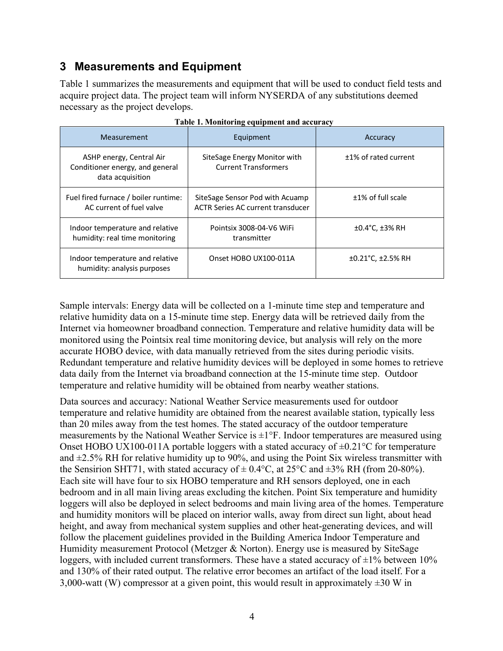### **3 Measurements and Equipment**

Table 1 summarizes the measurements and equipment that will be used to conduct field tests and acquire project data. The project team will inform NYSERDA of any substitutions deemed necessary as the project develops.

| Measurement                                                                     | Equipment                                                                   | Accuracy                       |  |
|---------------------------------------------------------------------------------|-----------------------------------------------------------------------------|--------------------------------|--|
| ASHP energy, Central Air<br>Conditioner energy, and general<br>data acquisition | SiteSage Energy Monitor with<br><b>Current Transformers</b>                 | +1% of rated current           |  |
| Fuel fired furnace / boiler runtime:<br>AC current of fuel valve                | SiteSage Sensor Pod with Acuamp<br><b>ACTR Series AC current transducer</b> | $±1\%$ of full scale           |  |
| Indoor temperature and relative<br>humidity: real time monitoring               | Pointsix 3008-04-V6 WiFi<br>transmitter                                     | $±0.4$ °C, $±3%$ RH            |  |
| Indoor temperature and relative<br>humidity: analysis purposes                  | Onset HOBO UX100-011A                                                       | $±0.21^{\circ}$ C, $±2.5\%$ RH |  |

| Table 1. Monitoring equipment and accuracy |  |  |
|--------------------------------------------|--|--|
|                                            |  |  |

Sample intervals: Energy data will be collected on a 1-minute time step and temperature and relative humidity data on a 15-minute time step. Energy data will be retrieved daily from the Internet via homeowner broadband connection. Temperature and relative humidity data will be monitored using the Pointsix real time monitoring device, but analysis will rely on the more accurate HOBO device, with data manually retrieved from the sites during periodic visits. Redundant temperature and relative humidity devices will be deployed in some homes to retrieve data daily from the Internet via broadband connection at the 15-minute time step. Outdoor temperature and relative humidity will be obtained from nearby weather stations.

Data sources and accuracy: National Weather Service measurements used for outdoor temperature and relative humidity are obtained from the nearest available station, typically less than 20 miles away from the test homes. The stated accuracy of the outdoor temperature measurements by the National Weather Service is  $\pm 1^{\circ}F$ . Indoor temperatures are measured using Onset HOBO UX100-011A portable loggers with a stated accuracy of  $\pm$ 0.21 $\degree$ C for temperature and  $\pm$ 2.5% RH for relative humidity up to 90%, and using the Point Six wireless transmitter with the Sensirion SHT71, with stated accuracy of  $\pm$  0.4°C, at 25°C and  $\pm$ 3% RH (from 20-80%). Each site will have four to six HOBO temperature and RH sensors deployed, one in each bedroom and in all main living areas excluding the kitchen. Point Six temperature and humidity loggers will also be deployed in select bedrooms and main living area of the homes. Temperature and humidity monitors will be placed on interior walls, away from direct sun light, about head height, and away from mechanical system supplies and other heat-generating devices, and will follow the placement guidelines provided in the Building America Indoor Temperature and Humidity measurement Protocol (Metzger & Norton). Energy use is measured by SiteSage loggers, with included current transformers. These have a stated accuracy of  $\pm 1\%$  between 10% and 130% of their rated output. The relative error becomes an artifact of the load itself. For a 3,000-watt (W) compressor at a given point, this would result in approximately  $\pm 30$  W in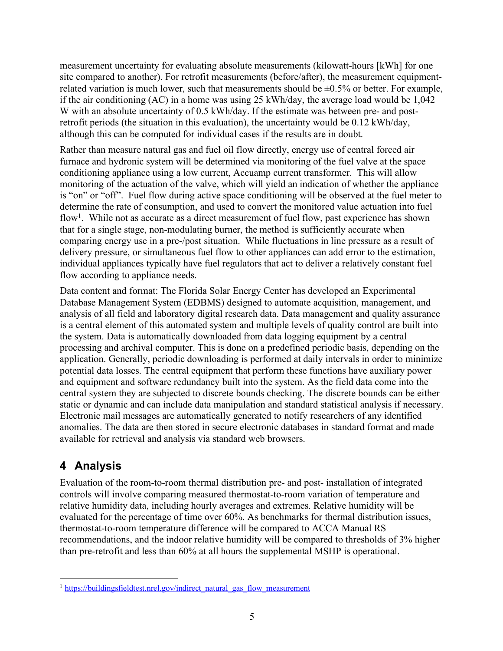measurement uncertainty for evaluating absolute measurements (kilowatt-hours [kWh] for one site compared to another). For retrofit measurements (before/after), the measurement equipmentrelated variation is much lower, such that measurements should be  $\pm 0.5\%$  or better. For example, if the air conditioning (AC) in a home was using 25 kWh/day, the average load would be 1,042 W with an absolute uncertainty of 0.5 kWh/day. If the estimate was between pre- and postretrofit periods (the situation in this evaluation), the uncertainty would be 0.12 kWh/day, although this can be computed for individual cases if the results are in doubt.

Rather than measure natural gas and fuel oil flow directly, energy use of central forced air furnace and hydronic system will be determined via monitoring of the fuel valve at the space conditioning appliance using a low current, Accuamp current transformer. This will allow monitoring of the actuation of the valve, which will yield an indication of whether the appliance is "on" or "off". Fuel flow during active space conditioning will be observed at the fuel meter to determine the rate of consumption, and used to convert the monitored value actuation into fuel flow<sup>1</sup>. While not as accurate as a direct measurement of fuel flow, past experience has shown that for a single stage, non-modulating burner, the method is sufficiently accurate when comparing energy use in a pre-/post situation. While fluctuations in line pressure as a result of delivery pressure, or simultaneous fuel flow to other appliances can add error to the estimation, individual appliances typically have fuel regulators that act to deliver a relatively constant fuel flow according to appliance needs.

Data content and format: The Florida Solar Energy Center has developed an Experimental Database Management System (EDBMS) designed to automate acquisition, management, and analysis of all field and laboratory digital research data. Data management and quality assurance is a central element of this automated system and multiple levels of quality control are built into the system. Data is automatically downloaded from data logging equipment by a central processing and archival computer. This is done on a predefined periodic basis, depending on the application. Generally, periodic downloading is performed at daily intervals in order to minimize potential data losses. The central equipment that perform these functions have auxiliary power and equipment and software redundancy built into the system. As the field data come into the central system they are subjected to discrete bounds checking. The discrete bounds can be either static or dynamic and can include data manipulation and standard statistical analysis if necessary. Electronic mail messages are automatically generated to notify researchers of any identified anomalies. The data are then stored in secure electronic databases in standard format and made available for retrieval and analysis via standard web browsers.

### **4 Analysis**

Evaluation of the room-to-room thermal distribution pre- and post- installation of integrated controls will involve comparing measured thermostat-to-room variation of temperature and relative humidity data, including hourly averages and extremes. Relative humidity will be evaluated for the percentage of time over 60%. As benchmarks for thermal distribution issues, thermostat-to-room temperature difference will be compared to ACCA Manual RS recommendations, and the indoor relative humidity will be compared to thresholds of 3% higher than pre-retrofit and less than 60% at all hours the supplemental MSHP is operational.

 $1$  https://buildingsfieldtest.nrel.gov/indirect\_natural\_gas\_flow\_measurement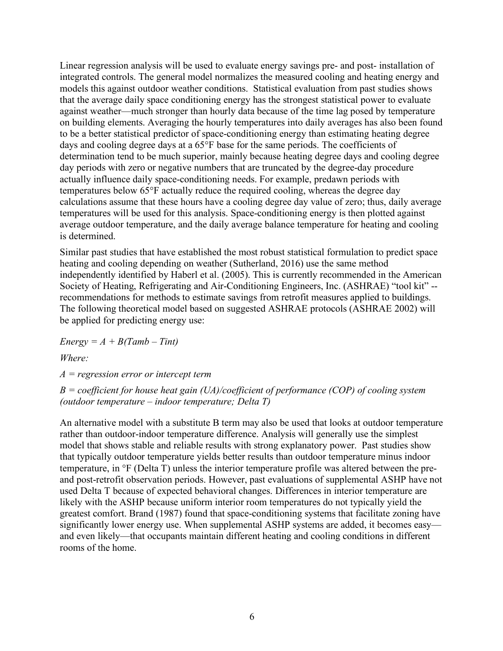Linear regression analysis will be used to evaluate energy savings pre- and post- installation of integrated controls. The general model normalizes the measured cooling and heating energy and models this against outdoor weather conditions. Statistical evaluation from past studies shows that the average daily space conditioning energy has the strongest statistical power to evaluate against weather—much stronger than hourly data because of the time lag posed by temperature on building elements. Averaging the hourly temperatures into daily averages has also been found to be a better statistical predictor of space-conditioning energy than estimating heating degree days and cooling degree days at a 65°F base for the same periods. The coefficients of determination tend to be much superior, mainly because heating degree days and cooling degree day periods with zero or negative numbers that are truncated by the degree-day procedure actually influence daily space-conditioning needs. For example, predawn periods with temperatures below 65°F actually reduce the required cooling, whereas the degree day calculations assume that these hours have a cooling degree day value of zero; thus, daily average temperatures will be used for this analysis. Space-conditioning energy is then plotted against average outdoor temperature, and the daily average balance temperature for heating and cooling is determined.

Similar past studies that have established the most robust statistical formulation to predict space heating and cooling depending on weather (Sutherland, 2016) use the same method independently identified by Haberl et al. (2005). This is currently recommended in the American Society of Heating, Refrigerating and Air-Conditioning Engineers, Inc. (ASHRAE) "tool kit" - recommendations for methods to estimate savings from retrofit measures applied to buildings. The following theoretical model based on suggested ASHRAE protocols (ASHRAE 2002) will be applied for predicting energy use:

 $Energy = A + B(Tamb - Tint)$ 

*Where:*

*A = regression error or intercept term*

*B = coefficient for house heat gain (UA)/coefficient of performance (COP) of cooling system (outdoor temperature – indoor temperature; Delta T)*

An alternative model with a substitute B term may also be used that looks at outdoor temperature rather than outdoor-indoor temperature difference. Analysis will generally use the simplest model that shows stable and reliable results with strong explanatory power. Past studies show that typically outdoor temperature yields better results than outdoor temperature minus indoor temperature, in °F (Delta T) unless the interior temperature profile was altered between the preand post-retrofit observation periods. However, past evaluations of supplemental ASHP have not used Delta T because of expected behavioral changes. Differences in interior temperature are likely with the ASHP because uniform interior room temperatures do not typically yield the greatest comfort. Brand (1987) found that space-conditioning systems that facilitate zoning have significantly lower energy use. When supplemental ASHP systems are added, it becomes easy and even likely—that occupants maintain different heating and cooling conditions in different rooms of the home.